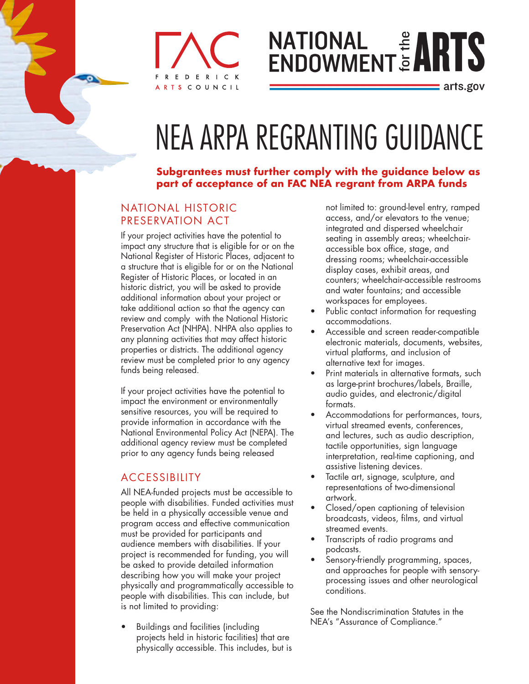### D. ERICK SCOUNCIL

# **NATIONAL # ART**

: arts.gov

## NEA ARPA REGRANTING GUIDANCE

#### **Subgrantees must further comply with the guidance below as part of acceptance of an FAC NEA regrant from ARPA funds**

#### NATIONAL HISTORIC PRESERVATION ACT

If your project activities have the potential to impact any structure that is eligible for or on the National Register of Historic Places, adjacent to a structure that is eligible for or on the National Register of Historic Places, or located in an historic district, you will be asked to provide additional information about your project or take additional action so that the agency can review and comply with the National Historic Preservation Act (NHPA). NHPA also applies to any planning activities that may affect historic properties or districts. The additional agency review must be completed prior to any agency funds being released.

If your project activities have the potential to impact the environment or environmentally sensitive resources, you will be required to provide information in accordance with the National Environmental Policy Act (NEPA). The additional agency review must be completed prior to any agency funds being released

#### **ACCESSIBILITY**

All NEA-funded projects must be accessible to people with disabilities. Funded activities must be held in a physically accessible venue and program access and effective communication must be provided for participants and audience members with disabilities. If your project is recommended for funding, you will be asked to provide detailed information describing how you will make your project physically and programmatically accessible to people with disabilities. This can include, but is not limited to providing:

• Buildings and facilities (including projects held in historic facilities) that are physically accessible. This includes, but is

not limited to: ground-level entry, ramped access, and/or elevators to the venue; integrated and dispersed wheelchair seating in assembly areas; wheelchairaccessible box office, stage, and dressing rooms; wheelchair-accessible display cases, exhibit areas, and counters; wheelchair-accessible restrooms and water fountains; and accessible workspaces for employees.

- Public contact information for requesting accommodations.
- Accessible and screen reader-compatible electronic materials, documents, websites, virtual platforms, and inclusion of alternative text for images.
- Print materials in alternative formats, such as large-print brochures/labels, Braille, audio guides, and electronic/digital formats.
- Accommodations for performances, tours, virtual streamed events, conferences, and lectures, such as audio description, tactile opportunities, sign language interpretation, real-time captioning, and assistive listening devices.
- Tactile art, signage, sculpture, and representations of two-dimensional artwork.
- Closed/open captioning of television broadcasts, videos, films, and virtual streamed events.
- Transcripts of radio programs and podcasts.
- Sensory-friendly programming, spaces, and approaches for people with sensoryprocessing issues and other neurological conditions.

See the Nondiscrimination Statutes in the NEA's "Assurance of Compliance."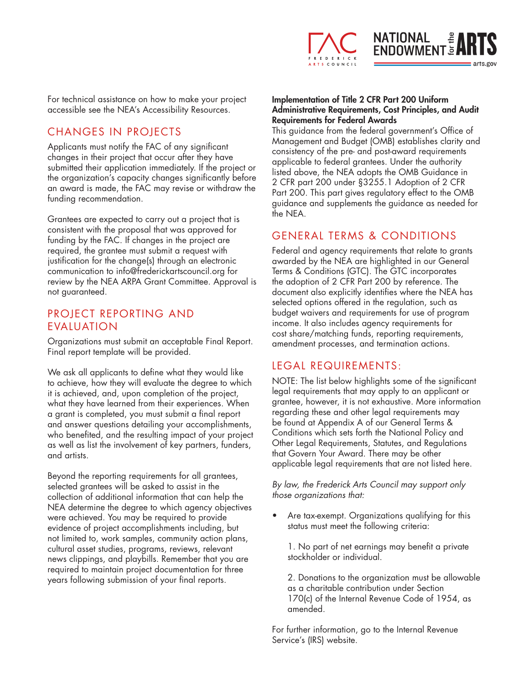

For technical assistance on how to make your project accessible see the NEA's Accessibility Resources.

#### CHANGES IN PROJECTS

Applicants must notify the FAC of any significant changes in their project that occur after they have submitted their application immediately. If the project or the organization's capacity changes significantly before an award is made, the FAC may revise or withdraw the funding recommendation.

Grantees are expected to carry out a project that is consistent with the proposal that was approved for funding by the FAC. If changes in the project are required, the grantee must submit a request with justification for the change(s) through an electronic communication to info@frederickartscouncil.org for review by the NEA ARPA Grant Committee. Approval is not guaranteed.

#### PROJECT REPORTING AND EVALUATION

Organizations must submit an acceptable Final Report. Final report template will be provided.

We ask all applicants to define what they would like to achieve, how they will evaluate the degree to which it is achieved, and, upon completion of the project, what they have learned from their experiences. When a grant is completed, you must submit a final report and answer questions detailing your accomplishments, who benefited, and the resulting impact of your project as well as list the involvement of key partners, funders, and artists.

Beyond the reporting requirements for all grantees, selected grantees will be asked to assist in the collection of additional information that can help the NEA determine the degree to which agency objectives were achieved. You may be required to provide evidence of project accomplishments including, but not limited to, work samples, community action plans, cultural asset studies, programs, reviews, relevant news clippings, and playbills. Remember that you are required to maintain project documentation for three years following submission of your final reports.

#### Implementation of Title 2 CFR Part 200 Uniform Administrative Requirements, Cost Principles, and Audit Requirements for Federal Awards

This guidance from the federal government's Office of Management and Budget (OMB) establishes clarity and consistency of the pre- and post-award requirements applicable to federal grantees. Under the authority listed above, the NEA adopts the OMB Guidance in 2 CFR part 200 under §3255.1 Adoption of 2 CFR Part 200. This part gives regulatory effect to the OMB guidance and supplements the guidance as needed for the NEA.

#### GENERAL TERMS & CONDITIONS

Federal and agency requirements that relate to grants awarded by the NEA are highlighted in our General Terms & Conditions (GTC). The GTC incorporates the adoption of 2 CFR Part 200 by reference. The document also explicitly identifies where the NEA has selected options offered in the regulation, such as budget waivers and requirements for use of program income. It also includes agency requirements for cost share/matching funds, reporting requirements, amendment processes, and termination actions.

#### LEGAL REQUIREMENTS:

NOTE: The list below highlights some of the significant legal requirements that may apply to an applicant or grantee, however, it is not exhaustive. More information regarding these and other legal requirements may be found at Appendix A of our General Terms & Conditions which sets forth the National Policy and Other Legal Requirements, Statutes, and Regulations that Govern Your Award. There may be other applicable legal requirements that are not listed here.

*By law, the Frederick Arts Council may support only those organizations that:*

Are tax-exempt. Organizations qualifying for this status must meet the following criteria:

1. No part of net earnings may benefit a private stockholder or individual.

2. Donations to the organization must be allowable as a charitable contribution under Section 170(c) of the Internal Revenue Code of 1954, as amended.

For further information, go to the Internal Revenue Service's (IRS) website.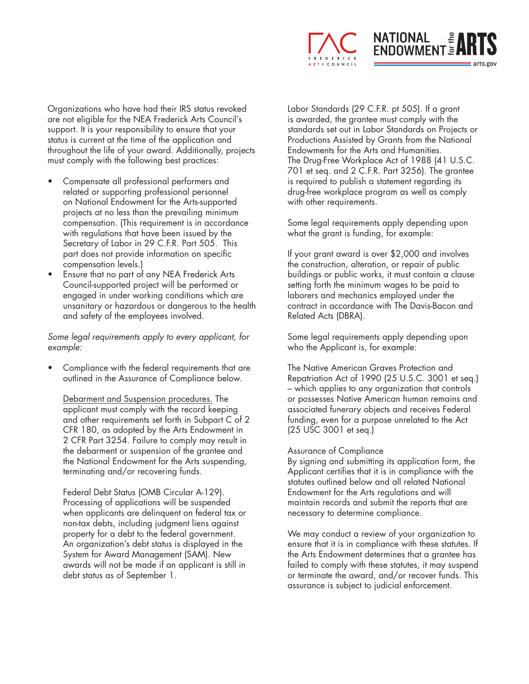

Organizations who have had their IRS status revoked are not eligible for the NEA Frederick Arts Council's support. It is your responsibility to ensure that your status is current at the time of the application and throughout the life of your award. Additionally, projects must comply with the following best practices:

- Compensate all professional performers and related or supporting professional personnel on National Endowment for the Arts-supported projects at no less than the prevailing minimum compensation. (This requirement is in accordance with regulations that have been issued by the Secretary of Labor in 29 C.F.R. Part 505. This part does not provide information on specific compensation levels.)
- Ensure that no part of any NEA Frederick Arts Council-supported project will be performed or engaged in under working conditions which are unsanitary or hazardous or dangerous to the health and safety of the employees involved.

*Some legal requirements apply to every applicant, for example:*

• Compliance with the federal requirements that are outlined in the Assurance of Compliance below.

Debarment and Suspension procedures. The applicant must comply with the record keeping and other requirements set forth in Subpart C of 2 CFR 180, as adopted by the Arts Endowment in 2 CFR Part 3254. Failure to comply may result in the debarment or suspension of the grantee and the National Endowment for the Arts suspending, terminating and/or recovering funds.

Federal Debt Status (OMB Circular A-129). Processing of applications will be suspended when applicants are delinquent on federal tax or non-tax debts, including judgment liens against property for a debt to the federal government. An organization's debt status is displayed in the System for Award Management (SAM). New awards will not be made if an applicant is still in debt status as of September 1.

Labor Standards (29 C.F.R. pt 505). If a grant is awarded, the grantee must comply with the standards set out in Labor Standards on Projects or Productions Assisted by Grants from the National Endowments for the Arts and Humanities. The Drug-Free Workplace Act of 1988 (41 U.S.C. 701 et seq. and 2 C.F.R. Part 3256). The grantee is required to publish a statement regarding its drug-free workplace program as well as comply with other requirements.

Some legal requirements apply depending upon what the grant is funding, for example:

If your grant award is over \$2,000 and involves the construction, alteration, or repair of public buildings or public works, it must contain a clause setting forth the minimum wages to be paid to laborers and mechanics employed under the contract in accordance with The Davis-Bacon and Related Acts (DBRA).

Some legal requirements apply depending upon who the Applicant is, for example:

The Native American Graves Protection and Repatriation Act of 1990 (25 U.S.C. 3001 et seq.) – which applies to any organization that controls or possesses Native American human remains and associated funerary objects and receives Federal funding, even for a purpose unrelated to the Act (25 USC 3001 et seq.)

#### Assurance of Compliance

By signing and submitting its application form, the Applicant certifies that it is in compliance with the statutes outlined below and all related National Endowment for the Arts regulations and will maintain records and submit the reports that are necessary to determine compliance.

We may conduct a review of your organization to ensure that it is in compliance with these statutes. If the Arts Endowment determines that a grantee has failed to comply with these statutes, it may suspend or terminate the award, and/or recover funds. This assurance is subject to judicial enforcement.